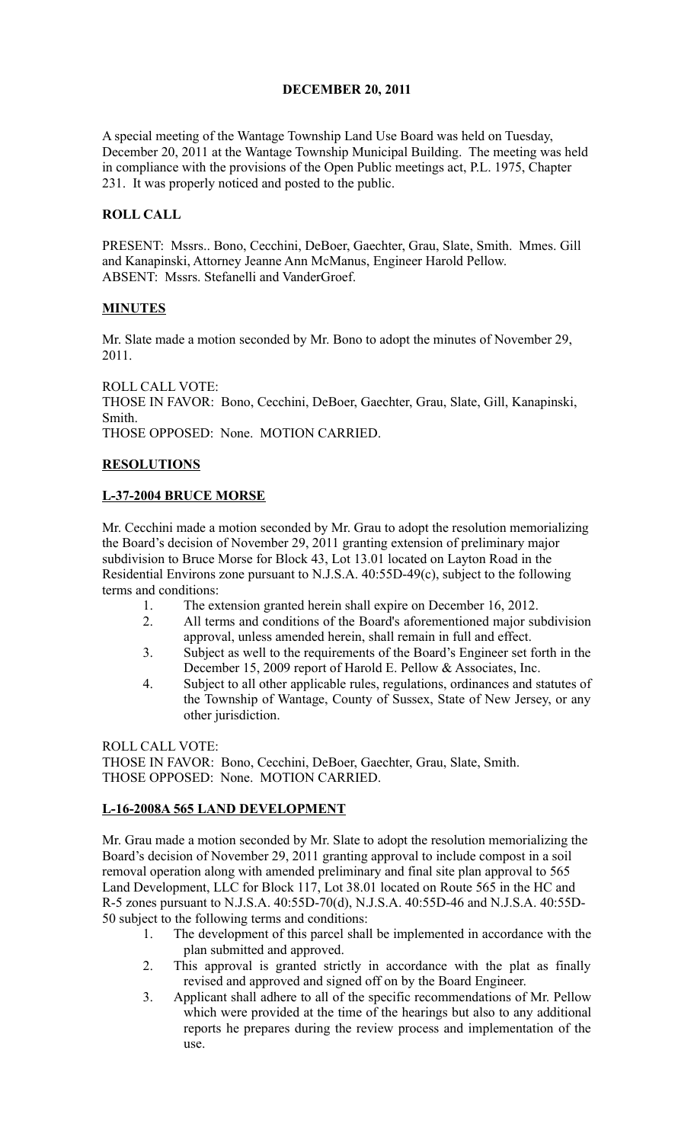### **DECEMBER 20, 2011**

A special meeting of the Wantage Township Land Use Board was held on Tuesday, December 20, 2011 at the Wantage Township Municipal Building. The meeting was held in compliance with the provisions of the Open Public meetings act, P.L. 1975, Chapter 231. It was properly noticed and posted to the public.

### **ROLL CALL**

PRESENT: Mssrs.. Bono, Cecchini, DeBoer, Gaechter, Grau, Slate, Smith. Mmes. Gill and Kanapinski, Attorney Jeanne Ann McManus, Engineer Harold Pellow. ABSENT: Mssrs. Stefanelli and VanderGroef.

### **MINUTES**

Mr. Slate made a motion seconded by Mr. Bono to adopt the minutes of November 29, 2011.

ROLL CALL VOTE: THOSE IN FAVOR: Bono, Cecchini, DeBoer, Gaechter, Grau, Slate, Gill, Kanapinski, Smith. THOSE OPPOSED: None. MOTION CARRIED.

### **RESOLUTIONS**

### **L-37-2004 BRUCE MORSE**

Mr. Cecchini made a motion seconded by Mr. Grau to adopt the resolution memorializing the Board's decision of November 29, 2011 granting extension of preliminary major subdivision to Bruce Morse for Block 43, Lot 13.01 located on Layton Road in the Residential Environs zone pursuant to N.J.S.A. 40:55D-49(c), subject to the following terms and conditions:

- 1. The extension granted herein shall expire on December 16, 2012.
- 2. All terms and conditions of the Board's aforementioned major subdivision approval, unless amended herein, shall remain in full and effect.
- 3. Subject as well to the requirements of the Board's Engineer set forth in the December 15, 2009 report of Harold E. Pellow & Associates, Inc.
- 4. Subject to all other applicable rules, regulations, ordinances and statutes of the Township of Wantage, County of Sussex, State of New Jersey, or any other jurisdiction.

ROLL CALL VOTE:

THOSE IN FAVOR: Bono, Cecchini, DeBoer, Gaechter, Grau, Slate, Smith. THOSE OPPOSED: None. MOTION CARRIED.

#### **L-16-2008A 565 LAND DEVELOPMENT**

Mr. Grau made a motion seconded by Mr. Slate to adopt the resolution memorializing the Board's decision of November 29, 2011 granting approval to include compost in a soil removal operation along with amended preliminary and final site plan approval to 565 Land Development, LLC for Block 117, Lot 38.01 located on Route 565 in the HC and R-5 zones pursuant to N.J.S.A. 40:55D-70(d), N.J.S.A. 40:55D-46 and N.J.S.A. 40:55D-50 subject to the following terms and conditions:

- 1. The development of this parcel shall be implemented in accordance with the plan submitted and approved.
- 2. This approval is granted strictly in accordance with the plat as finally revised and approved and signed off on by the Board Engineer.
- 3. Applicant shall adhere to all of the specific recommendations of Mr. Pellow which were provided at the time of the hearings but also to any additional reports he prepares during the review process and implementation of the use.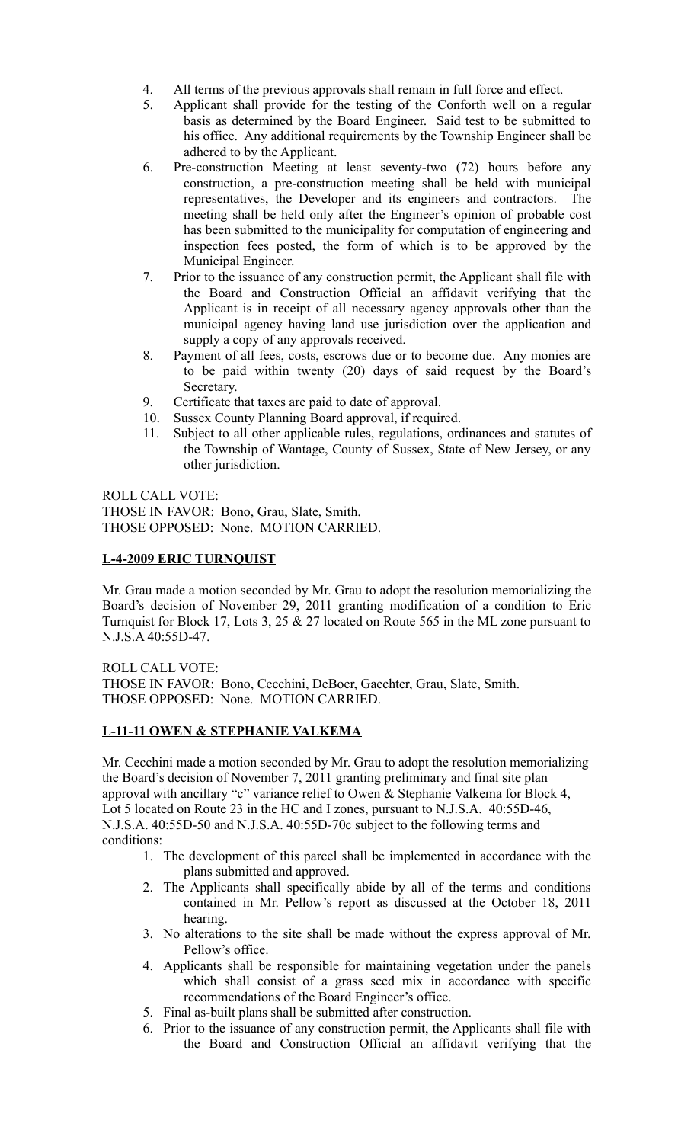- 4. All terms of the previous approvals shall remain in full force and effect.
- 5. Applicant shall provide for the testing of the Conforth well on a regular basis as determined by the Board Engineer. Said test to be submitted to his office. Any additional requirements by the Township Engineer shall be adhered to by the Applicant.
- 6. Pre-construction Meeting at least seventy-two (72) hours before any construction, a pre-construction meeting shall be held with municipal representatives, the Developer and its engineers and contractors. The meeting shall be held only after the Engineer's opinion of probable cost has been submitted to the municipality for computation of engineering and inspection fees posted, the form of which is to be approved by the Municipal Engineer.
- 7. Prior to the issuance of any construction permit, the Applicant shall file with the Board and Construction Official an affidavit verifying that the Applicant is in receipt of all necessary agency approvals other than the municipal agency having land use jurisdiction over the application and supply a copy of any approvals received.
- 8. Payment of all fees, costs, escrows due or to become due. Any monies are to be paid within twenty (20) days of said request by the Board's Secretary.
- 9. Certificate that taxes are paid to date of approval.
- 10. Sussex County Planning Board approval, if required.
- 11. Subject to all other applicable rules, regulations, ordinances and statutes of the Township of Wantage, County of Sussex, State of New Jersey, or any other jurisdiction.

ROLL CALL VOTE: THOSE IN FAVOR: Bono, Grau, Slate, Smith. THOSE OPPOSED: None. MOTION CARRIED.

### **L-4-2009 ERIC TURNQUIST**

Mr. Grau made a motion seconded by Mr. Grau to adopt the resolution memorializing the Board's decision of November 29, 2011 granting modification of a condition to Eric Turnquist for Block 17, Lots 3, 25 & 27 located on Route 565 in the ML zone pursuant to N.J.S.A 40:55D-47.

ROLL CALL VOTE: THOSE IN FAVOR: Bono, Cecchini, DeBoer, Gaechter, Grau, Slate, Smith. THOSE OPPOSED: None. MOTION CARRIED.

# **L-11-11 OWEN & STEPHANIE VALKEMA**

Mr. Cecchini made a motion seconded by Mr. Grau to adopt the resolution memorializing the Board's decision of November 7, 2011 granting preliminary and final site plan approval with ancillary "c" variance relief to Owen & Stephanie Valkema for Block 4, Lot 5 located on Route 23 in the HC and I zones, pursuant to N.J.S.A. 40:55D-46, N.J.S.A. 40:55D-50 and N.J.S.A. 40:55D-70c subject to the following terms and conditions:

- 1. The development of this parcel shall be implemented in accordance with the plans submitted and approved.
- 2. The Applicants shall specifically abide by all of the terms and conditions contained in Mr. Pellow's report as discussed at the October 18, 2011 hearing.
- 3. No alterations to the site shall be made without the express approval of Mr. Pellow's office.
- 4. Applicants shall be responsible for maintaining vegetation under the panels which shall consist of a grass seed mix in accordance with specific recommendations of the Board Engineer's office.
- 5. Final as-built plans shall be submitted after construction.
- 6. Prior to the issuance of any construction permit, the Applicants shall file with the Board and Construction Official an affidavit verifying that the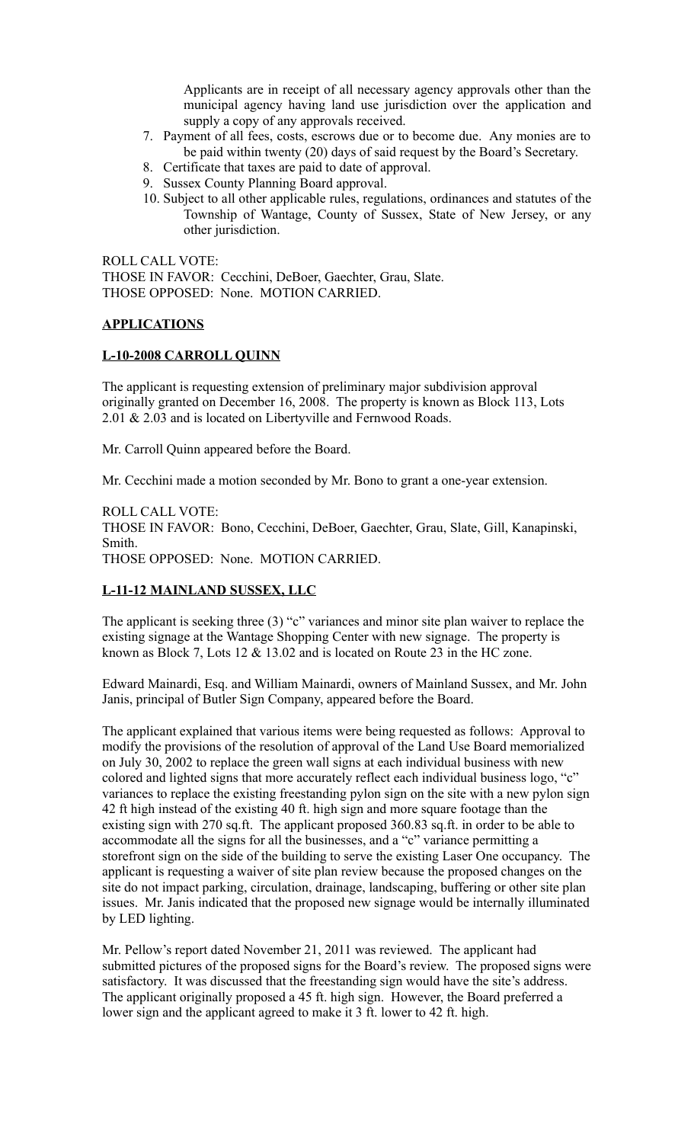Applicants are in receipt of all necessary agency approvals other than the municipal agency having land use jurisdiction over the application and supply a copy of any approvals received.

- 7. Payment of all fees, costs, escrows due or to become due. Any monies are to be paid within twenty (20) days of said request by the Board's Secretary.
- 8. Certificate that taxes are paid to date of approval.
- 9. Sussex County Planning Board approval.
- 10. Subject to all other applicable rules, regulations, ordinances and statutes of the Township of Wantage, County of Sussex, State of New Jersey, or any other jurisdiction.

ROLL CALL VOTE: THOSE IN FAVOR: Cecchini, DeBoer, Gaechter, Grau, Slate. THOSE OPPOSED: None. MOTION CARRIED.

# **APPLICATIONS**

### **L-10-2008 CARROLL QUINN**

The applicant is requesting extension of preliminary major subdivision approval originally granted on December 16, 2008. The property is known as Block 113, Lots 2.01 & 2.03 and is located on Libertyville and Fernwood Roads.

Mr. Carroll Quinn appeared before the Board.

Mr. Cecchini made a motion seconded by Mr. Bono to grant a one-year extension.

ROLL CALL VOTE: THOSE IN FAVOR: Bono, Cecchini, DeBoer, Gaechter, Grau, Slate, Gill, Kanapinski, Smith.

THOSE OPPOSED: None. MOTION CARRIED.

# **L-11-12 MAINLAND SUSSEX, LLC**

The applicant is seeking three (3) "c" variances and minor site plan waiver to replace the existing signage at the Wantage Shopping Center with new signage. The property is known as Block 7, Lots 12 & 13.02 and is located on Route 23 in the HC zone.

Edward Mainardi, Esq. and William Mainardi, owners of Mainland Sussex, and Mr. John Janis, principal of Butler Sign Company, appeared before the Board.

The applicant explained that various items were being requested as follows: Approval to modify the provisions of the resolution of approval of the Land Use Board memorialized on July 30, 2002 to replace the green wall signs at each individual business with new colored and lighted signs that more accurately reflect each individual business logo, "c" variances to replace the existing freestanding pylon sign on the site with a new pylon sign 42 ft high instead of the existing 40 ft. high sign and more square footage than the existing sign with 270 sq.ft. The applicant proposed 360.83 sq.ft. in order to be able to accommodate all the signs for all the businesses, and a "c" variance permitting a storefront sign on the side of the building to serve the existing Laser One occupancy. The applicant is requesting a waiver of site plan review because the proposed changes on the site do not impact parking, circulation, drainage, landscaping, buffering or other site plan issues. Mr. Janis indicated that the proposed new signage would be internally illuminated by LED lighting.

Mr. Pellow's report dated November 21, 2011 was reviewed. The applicant had submitted pictures of the proposed signs for the Board's review. The proposed signs were satisfactory. It was discussed that the freestanding sign would have the site's address. The applicant originally proposed a 45 ft. high sign. However, the Board preferred a lower sign and the applicant agreed to make it 3 ft. lower to 42 ft. high.